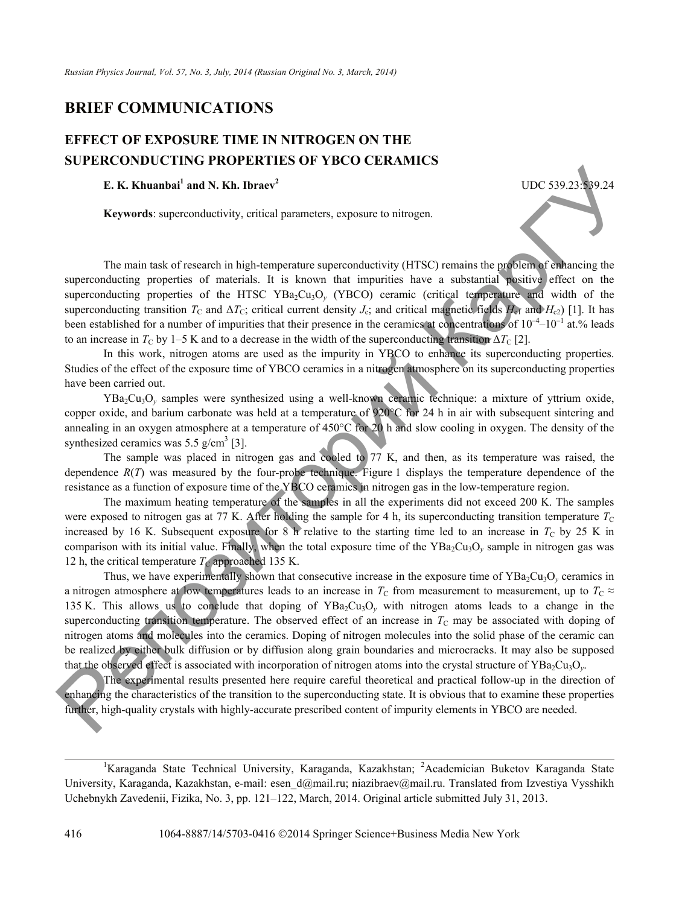## **BRIEF COMMUNICATIONS**

## **EFFECT OF EXPOSURE TIME IN NITROGEN ON THE SUPERCONDUCTING PROPERTIES OF YBCO CERAMICS**

## **E. K. Khuanbai1 and N. Kh. Ibraev<sup>2</sup>**

**Keywords**: superconductivity, critical parameters, exposure to nitrogen.

The main task of research in high-temperature superconductivity (HTSC) remains the problem of enhancing the superconducting properties of materials. It is known that impurities have a substantial positive effect on the superconducting properties of the HTSC YBa<sub>2</sub>Cu<sub>3</sub>O<sub>y</sub> (YBCO) ceramic (critical temperature and width of the superconducting transition  $T_c$  and  $\Delta T_c$ ; critical current density  $J_c$ ; and critical magnetic fields  $H_{cf}$  and  $H_{c2}$ ) [1]. It has been established for a number of impurities that their presence in the ceramics at concentrations of  $10^{-4}$ – $10^{-1}$  at.% leads to an increase in  $T_C$  by 1–5 K and to a decrease in the width of the superconducting transition  $\Delta T_C$  [2].

UDC 539.23:539.24

In this work, nitrogen atoms are used as the impurity in YBCO to enhance its superconducting properties. Studies of the effect of the exposure time of YBCO ceramics in a nitrogen atmosphere on its superconducting properties have been carried out.

YBa2Cu3O*y* samples were synthesized using a well-known ceramic technique: a mixture of yttrium oxide, copper oxide, and barium carbonate was held at a temperature of  $920^{\circ}$ C for 24 h in air with subsequent sintering and annealing in an oxygen atmosphere at a temperature of  $450^{\circ}$ C for 20 h and slow cooling in oxygen. The density of the synthesized ceramics was  $5.5$  g/cm<sup>3</sup> [3].

The sample was placed in nitrogen gas and cooled to 77 K, and then, as its temperature was raised, the dependence *R*(*T*) was measured by the four-probe technique. Figure 1 displays the temperature dependence of the resistance as a function of exposure time of the YBCO ceramics in nitrogen gas in the low-temperature region.

The maximum heating temperature of the samples in all the experiments did not exceed 200 K. The samples were exposed to nitrogen gas at 77 K. After holding the sample for 4 h, its superconducting transition temperature  $T<sub>C</sub>$ increased by 16 K. Subsequent exposure for 8 h relative to the starting time led to an increase in  $T_c$  by 25 K in comparison with its initial value. Finally, when the total exposure time of the YBa<sub>2</sub>Cu<sub>3</sub>O<sub>y</sub> sample in nitrogen gas was 12 h, the critical temperature  $T_{\rm C}$  approached 135 K.

Thus, we have experimentally shown that consecutive increase in the exposure time of  $YBa_2Cu_3O_y$  ceramics in a nitrogen atmosphere at low temperatures leads to an increase in  $T_c$  from measurement to measurement, up to  $T_c \approx$ 135 K. This allows us to conclude that doping of YBa2Cu3O*y* with nitrogen atoms leads to a change in the superconducting transition temperature. The observed effect of an increase in  $T<sub>C</sub>$  may be associated with doping of nitrogen atoms and molecules into the ceramics. Doping of nitrogen molecules into the solid phase of the ceramic can be realized by either bulk diffusion or by diffusion along grain boundaries and microcracks. It may also be supposed that the observed effect is associated with incorporation of nitrogen atoms into the crystal structure of YBa<sub>2</sub>Cu<sub>3</sub>O<sub>y</sub>. **E. E. K.** Khuatba<sup>1</sup> and N. **Kh.** Ibrae-<sup>1</sup> UDC 539:23: 39:24<br> **E. K. Khuatba<sup>1</sup>** and N. **Kh.** Ibrae-<sup>1</sup> UDC 539:23: 39:24<br> **Keywords:** superconducting: properties of the HTSC YBa-Cuy), (YIFSC) remains the media

The experimental results presented here require careful theoretical and practical follow-up in the direction of enhancing the characteristics of the transition to the superconducting state. It is obvious that to examine these properties further, high-quality crystals with highly-accurate prescribed content of impurity elements in YBCO are needed.

<sup>&</sup>lt;sup>1</sup>Karaganda State Technical University, Karaganda, Kazakhstan; <sup>2</sup>Academician Buketov Karaganda State University, Karaganda, Kazakhstan, e-mail: esen d@mail.ru; niazibraev@mail.ru. Translated from Izvestiya Vysshikh Uchebnykh Zavedenii, Fizika, No. 3, pp. 121–122, March, 2014. Original article submitted July 31, 2013.